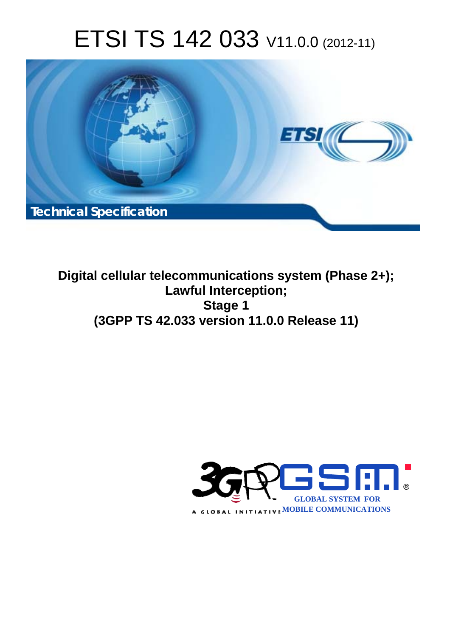# ETSI TS 142 033 V11.0.0 (2012-11)



**Digital cellular telecommunications system (Phase 2+); Lawful Interception; Stage 1 (3GPP TS 42.033 version 11.0.0 Release 11)** 

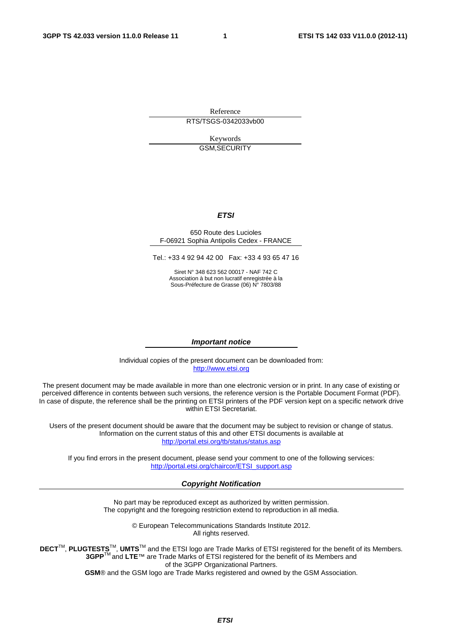Reference RTS/TSGS-0342033vb00

> Keywords GSM,SECURITY

#### *ETSI*

#### 650 Route des Lucioles F-06921 Sophia Antipolis Cedex - FRANCE

Tel.: +33 4 92 94 42 00 Fax: +33 4 93 65 47 16

Siret N° 348 623 562 00017 - NAF 742 C Association à but non lucratif enregistrée à la Sous-Préfecture de Grasse (06) N° 7803/88

#### *Important notice*

Individual copies of the present document can be downloaded from: [http://www.etsi.org](http://www.etsi.org/)

The present document may be made available in more than one electronic version or in print. In any case of existing or perceived difference in contents between such versions, the reference version is the Portable Document Format (PDF). In case of dispute, the reference shall be the printing on ETSI printers of the PDF version kept on a specific network drive within ETSI Secretariat.

Users of the present document should be aware that the document may be subject to revision or change of status. Information on the current status of this and other ETSI documents is available at <http://portal.etsi.org/tb/status/status.asp>

If you find errors in the present document, please send your comment to one of the following services: [http://portal.etsi.org/chaircor/ETSI\\_support.asp](http://portal.etsi.org/chaircor/ETSI_support.asp)

#### *Copyright Notification*

No part may be reproduced except as authorized by written permission. The copyright and the foregoing restriction extend to reproduction in all media.

> © European Telecommunications Standards Institute 2012. All rights reserved.

**DECT**TM, **PLUGTESTS**TM, **UMTS**TM and the ETSI logo are Trade Marks of ETSI registered for the benefit of its Members. **3GPP**TM and **LTE**™ are Trade Marks of ETSI registered for the benefit of its Members and of the 3GPP Organizational Partners.

**GSM**® and the GSM logo are Trade Marks registered and owned by the GSM Association.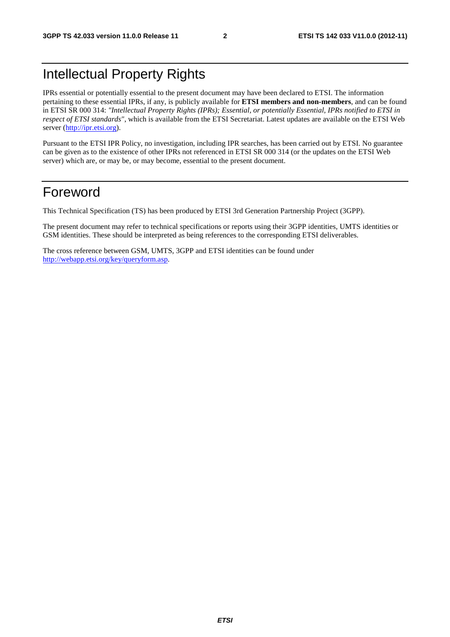# Intellectual Property Rights

IPRs essential or potentially essential to the present document may have been declared to ETSI. The information pertaining to these essential IPRs, if any, is publicly available for **ETSI members and non-members**, and can be found in ETSI SR 000 314: *"Intellectual Property Rights (IPRs); Essential, or potentially Essential, IPRs notified to ETSI in respect of ETSI standards"*, which is available from the ETSI Secretariat. Latest updates are available on the ETSI Web server ([http://ipr.etsi.org\)](http://webapp.etsi.org/IPR/home.asp).

Pursuant to the ETSI IPR Policy, no investigation, including IPR searches, has been carried out by ETSI. No guarantee can be given as to the existence of other IPRs not referenced in ETSI SR 000 314 (or the updates on the ETSI Web server) which are, or may be, or may become, essential to the present document.

# Foreword

This Technical Specification (TS) has been produced by ETSI 3rd Generation Partnership Project (3GPP).

The present document may refer to technical specifications or reports using their 3GPP identities, UMTS identities or GSM identities. These should be interpreted as being references to the corresponding ETSI deliverables.

The cross reference between GSM, UMTS, 3GPP and ETSI identities can be found under [http://webapp.etsi.org/key/queryform.asp.](http://webapp.etsi.org/key/queryform.asp)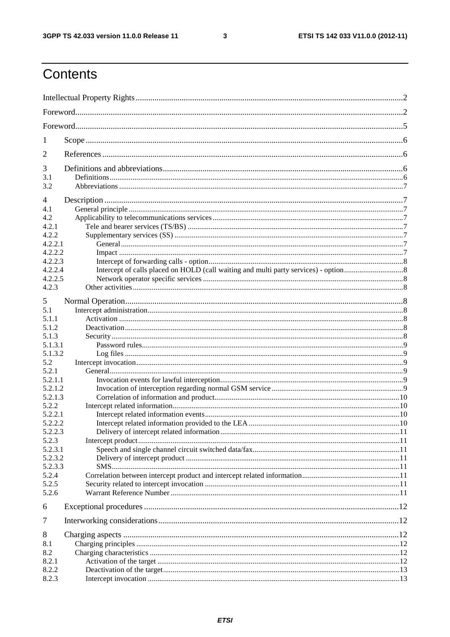$\mathbf{3}$ 

# Contents

| 1          |  |  |  |  |  |  |  |
|------------|--|--|--|--|--|--|--|
| 2          |  |  |  |  |  |  |  |
| 3          |  |  |  |  |  |  |  |
| 3.1        |  |  |  |  |  |  |  |
| 3.2        |  |  |  |  |  |  |  |
| 4          |  |  |  |  |  |  |  |
| 4.1        |  |  |  |  |  |  |  |
| 4.2        |  |  |  |  |  |  |  |
| 4.2.1      |  |  |  |  |  |  |  |
| 4.2.2      |  |  |  |  |  |  |  |
| 4.2.2.1    |  |  |  |  |  |  |  |
| 4.2.2.2    |  |  |  |  |  |  |  |
| 4.2.2.3    |  |  |  |  |  |  |  |
| 4.2.2.4    |  |  |  |  |  |  |  |
| 4.2.2.5    |  |  |  |  |  |  |  |
| 4.2.3      |  |  |  |  |  |  |  |
| 5          |  |  |  |  |  |  |  |
| 5.1        |  |  |  |  |  |  |  |
| 5.1.1      |  |  |  |  |  |  |  |
| 5.1.2      |  |  |  |  |  |  |  |
| 5.1.3      |  |  |  |  |  |  |  |
| 5.1.3.1    |  |  |  |  |  |  |  |
| 5.1.3.2    |  |  |  |  |  |  |  |
| 5.2        |  |  |  |  |  |  |  |
| 5.2.1      |  |  |  |  |  |  |  |
| 5.2.1.1    |  |  |  |  |  |  |  |
| 5.2.1.2    |  |  |  |  |  |  |  |
| 5.2.1.3    |  |  |  |  |  |  |  |
| 5.2.2      |  |  |  |  |  |  |  |
| 5.2.2.1    |  |  |  |  |  |  |  |
| 5.2.2.2    |  |  |  |  |  |  |  |
| 5.2.2.3    |  |  |  |  |  |  |  |
| 5.2.3      |  |  |  |  |  |  |  |
| 5.2.3.1    |  |  |  |  |  |  |  |
| 5.2.3.2    |  |  |  |  |  |  |  |
| 5.2.3.3    |  |  |  |  |  |  |  |
| 5.2.4      |  |  |  |  |  |  |  |
| 5.2.5      |  |  |  |  |  |  |  |
| 5.2.6      |  |  |  |  |  |  |  |
| 6          |  |  |  |  |  |  |  |
| $\tau$     |  |  |  |  |  |  |  |
|            |  |  |  |  |  |  |  |
| 8          |  |  |  |  |  |  |  |
| 8.1<br>8.2 |  |  |  |  |  |  |  |
| 8.2.1      |  |  |  |  |  |  |  |
| 8.2.2      |  |  |  |  |  |  |  |
| 8.2.3      |  |  |  |  |  |  |  |
|            |  |  |  |  |  |  |  |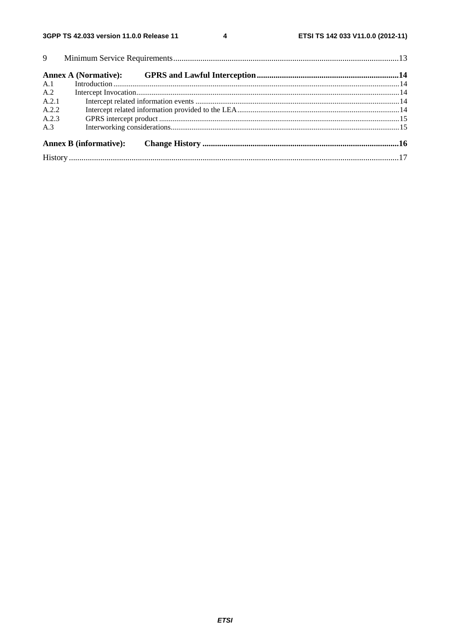$\overline{\mathbf{4}}$ 

| A.1   |                               |  |  |  |  |
|-------|-------------------------------|--|--|--|--|
| A.2   |                               |  |  |  |  |
| A.2.1 |                               |  |  |  |  |
| A.2.2 |                               |  |  |  |  |
| A.2.3 |                               |  |  |  |  |
| A.3   |                               |  |  |  |  |
|       | <b>Annex B</b> (informative): |  |  |  |  |
|       |                               |  |  |  |  |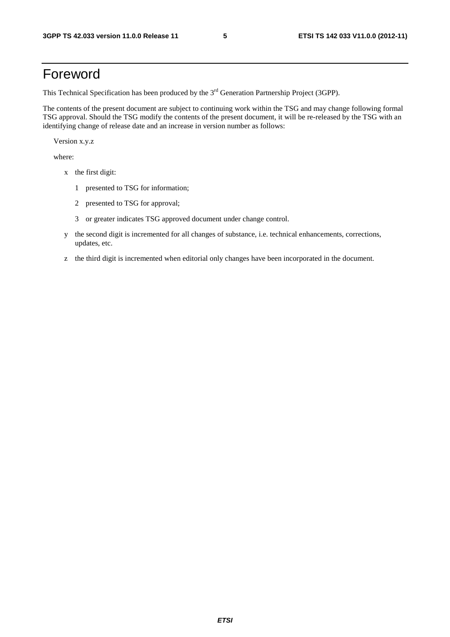# Foreword

This Technical Specification has been produced by the 3<sup>rd</sup> Generation Partnership Project (3GPP).

The contents of the present document are subject to continuing work within the TSG and may change following formal TSG approval. Should the TSG modify the contents of the present document, it will be re-released by the TSG with an identifying change of release date and an increase in version number as follows:

Version x.y.z

where:

- x the first digit:
	- 1 presented to TSG for information;
	- 2 presented to TSG for approval;
	- 3 or greater indicates TSG approved document under change control.
- y the second digit is incremented for all changes of substance, i.e. technical enhancements, corrections, updates, etc.
- z the third digit is incremented when editorial only changes have been incorporated in the document.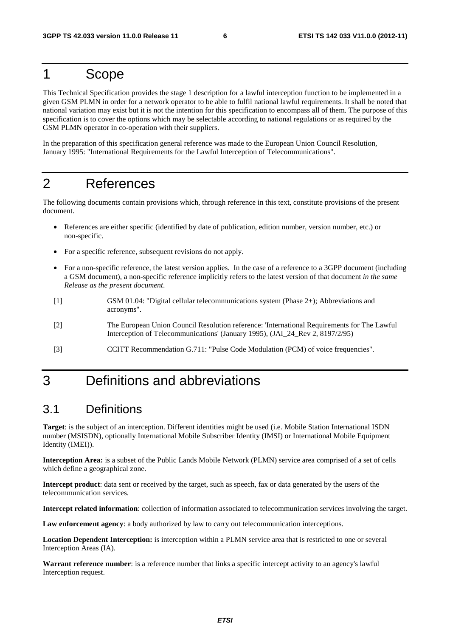# 1 Scope

This Technical Specification provides the stage 1 description for a lawful interception function to be implemented in a given GSM PLMN in order for a network operator to be able to fulfil national lawful requirements. It shall be noted that national variation may exist but it is not the intention for this specification to encompass all of them. The purpose of this specification is to cover the options which may be selectable according to national regulations or as required by the GSM PLMN operator in co-operation with their suppliers.

In the preparation of this specification general reference was made to the European Union Council Resolution, January 1995: "International Requirements for the Lawful Interception of Telecommunications".

# 2 References

The following documents contain provisions which, through reference in this text, constitute provisions of the present document.

- References are either specific (identified by date of publication, edition number, version number, etc.) or non-specific.
- For a specific reference, subsequent revisions do not apply.
- For a non-specific reference, the latest version applies. In the case of a reference to a 3GPP document (including a GSM document), a non-specific reference implicitly refers to the latest version of that document *in the same Release as the present document*.
- [1] GSM 01.04: "Digital cellular telecommunications system (Phase 2+); Abbreviations and acronyms".
- [2] The European Union Council Resolution reference: 'International Requirements for The Lawful Interception of Telecommunications' (January 1995), (JAI\_24\_Rev 2, 8197/2/95)
- [3] CCITT Recommendation G.711: "Pulse Code Modulation (PCM) of voice frequencies".

# 3 Definitions and abbreviations

### 3.1 Definitions

**Target**: is the subject of an interception. Different identities might be used (i.e. Mobile Station International ISDN number (MSISDN), optionally International Mobile Subscriber Identity (IMSI) or International Mobile Equipment Identity (IMEI)).

**Interception Area:** is a subset of the Public Lands Mobile Network (PLMN) service area comprised of a set of cells which define a geographical zone.

**Intercept product**: data sent or received by the target, such as speech, fax or data generated by the users of the telecommunication services.

**Intercept related information**: collection of information associated to telecommunication services involving the target.

**Law enforcement agency**: a body authorized by law to carry out telecommunication interceptions.

**Location Dependent Interception:** is interception within a PLMN service area that is restricted to one or several Interception Areas (IA).

**Warrant reference number**: is a reference number that links a specific intercept activity to an agency's lawful Interception request.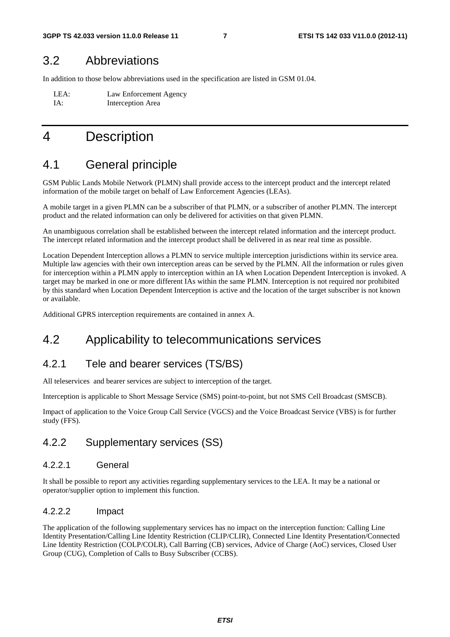### 3.2 Abbreviations

In addition to those below abbreviations used in the specification are listed in GSM 01.04.

LEA: Law Enforcement Agency IA: Interception Area

# 4 Description

# 4.1 General principle

GSM Public Lands Mobile Network (PLMN) shall provide access to the intercept product and the intercept related information of the mobile target on behalf of Law Enforcement Agencies (LEAs).

A mobile target in a given PLMN can be a subscriber of that PLMN, or a subscriber of another PLMN. The intercept product and the related information can only be delivered for activities on that given PLMN.

An unambiguous correlation shall be established between the intercept related information and the intercept product. The intercept related information and the intercept product shall be delivered in as near real time as possible.

Location Dependent Interception allows a PLMN to service multiple interception jurisdictions within its service area. Multiple law agencies with their own interception areas can be served by the PLMN. All the information or rules given for interception within a PLMN apply to interception within an IA when Location Dependent Interception is invoked. A target may be marked in one or more different IAs within the same PLMN. Interception is not required nor prohibited by this standard when Location Dependent Interception is active and the location of the target subscriber is not known or available.

Additional GPRS interception requirements are contained in annex A.

# 4.2 Applicability to telecommunications services

### 4.2.1 Tele and bearer services (TS/BS)

All teleservices and bearer services are subject to interception of the target.

Interception is applicable to Short Message Service (SMS) point-to-point, but not SMS Cell Broadcast (SMSCB).

Impact of application to the Voice Group Call Service (VGCS) and the Voice Broadcast Service (VBS) is for further study (FFS).

#### 4.2.2 Supplementary services (SS)

#### 4.2.2.1 General

It shall be possible to report any activities regarding supplementary services to the LEA. It may be a national or operator/supplier option to implement this function.

#### 4.2.2.2 Impact

The application of the following supplementary services has no impact on the interception function: Calling Line Identity Presentation/Calling Line Identity Restriction (CLIP/CLIR), Connected Line Identity Presentation/Connected Line Identity Restriction (COLP/COLR), Call Barring (CB) services, Advice of Charge (AoC) services, Closed User Group (CUG), Completion of Calls to Busy Subscriber (CCBS).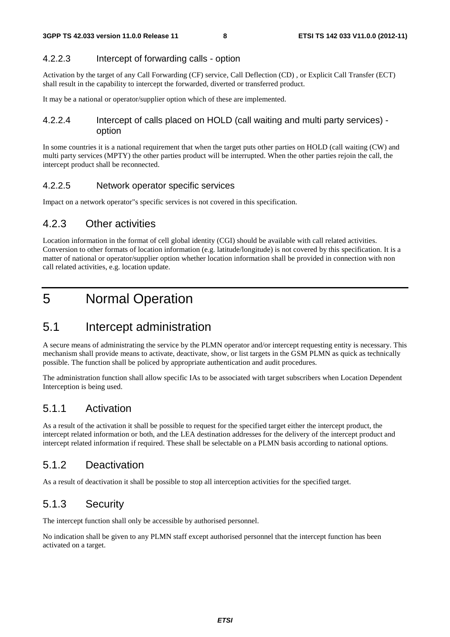#### 4.2.2.3 Intercept of forwarding calls - option

Activation by the target of any Call Forwarding (CF) service, Call Deflection (CD) , or Explicit Call Transfer (ECT) shall result in the capability to intercept the forwarded, diverted or transferred product.

It may be a national or operator/supplier option which of these are implemented.

#### 4.2.2.4 Intercept of calls placed on HOLD (call waiting and multi party services) option

In some countries it is a national requirement that when the target puts other parties on HOLD (call waiting (CW) and multi party services (MPTY) the other parties product will be interrupted. When the other parties rejoin the call, the intercept product shall be reconnected.

#### 4.2.2.5 Network operator specific services

Impact on a network operator"s specific services is not covered in this specification.

#### 4.2.3 Other activities

Location information in the format of cell global identity (CGI) should be available with call related activities. Conversion to other formats of location information (e.g. latitude/longitude) is not covered by this specification. It is a matter of national or operator/supplier option whether location information shall be provided in connection with non call related activities, e.g. location update.

# 5 Normal Operation

### 5.1 Intercept administration

A secure means of administrating the service by the PLMN operator and/or intercept requesting entity is necessary. This mechanism shall provide means to activate, deactivate, show, or list targets in the GSM PLMN as quick as technically possible. The function shall be policed by appropriate authentication and audit procedures.

The administration function shall allow specific IAs to be associated with target subscribers when Location Dependent Interception is being used.

#### 5.1.1 Activation

As a result of the activation it shall be possible to request for the specified target either the intercept product, the intercept related information or both, and the LEA destination addresses for the delivery of the intercept product and intercept related information if required. These shall be selectable on a PLMN basis according to national options.

#### 5.1.2 Deactivation

As a result of deactivation it shall be possible to stop all interception activities for the specified target.

#### 5.1.3 Security

The intercept function shall only be accessible by authorised personnel.

No indication shall be given to any PLMN staff except authorised personnel that the intercept function has been activated on a target.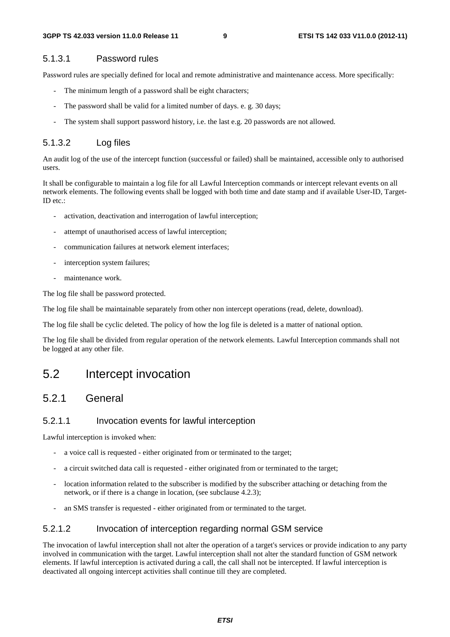#### 5.1.3.1 Password rules

Password rules are specially defined for local and remote administrative and maintenance access. More specifically:

- The minimum length of a password shall be eight characters;
- The password shall be valid for a limited number of days. e. g. 30 days;
- The system shall support password history, i.e. the last e.g. 20 passwords are not allowed.

#### 5.1.3.2 Log files

An audit log of the use of the intercept function (successful or failed) shall be maintained, accessible only to authorised users.

It shall be configurable to maintain a log file for all Lawful Interception commands or intercept relevant events on all network elements. The following events shall be logged with both time and date stamp and if available User-ID, Target-ID etc.:

- activation, deactivation and interrogation of lawful interception;
- attempt of unauthorised access of lawful interception;
- communication failures at network element interfaces;
- interception system failures:
- maintenance work.

The log file shall be password protected.

The log file shall be maintainable separately from other non intercept operations (read, delete, download).

The log file shall be cyclic deleted. The policy of how the log file is deleted is a matter of national option.

The log file shall be divided from regular operation of the network elements. Lawful Interception commands shall not be logged at any other file.

### 5.2 Intercept invocation

#### 5.2.1 General

#### 5.2.1.1 Invocation events for lawful interception

Lawful interception is invoked when:

- a voice call is requested either originated from or terminated to the target;
- a circuit switched data call is requested either originated from or terminated to the target;
- location information related to the subscriber is modified by the subscriber attaching or detaching from the network, or if there is a change in location, (see subclause 4.2.3);
- an SMS transfer is requested either originated from or terminated to the target.

#### 5.2.1.2 Invocation of interception regarding normal GSM service

The invocation of lawful interception shall not alter the operation of a target's services or provide indication to any party involved in communication with the target. Lawful interception shall not alter the standard function of GSM network elements. If lawful interception is activated during a call, the call shall not be intercepted. If lawful interception is deactivated all ongoing intercept activities shall continue till they are completed.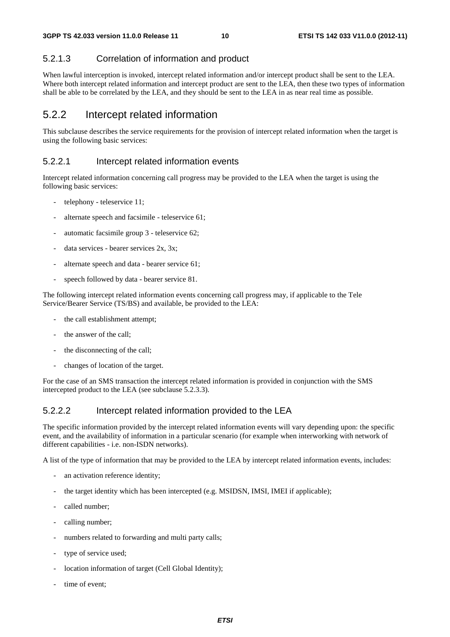#### 5.2.1.3 Correlation of information and product

When lawful interception is invoked, intercept related information and/or intercept product shall be sent to the LEA. Where both intercept related information and intercept product are sent to the LEA, then these two types of information shall be able to be correlated by the LEA, and they should be sent to the LEA in as near real time as possible.

#### 5.2.2 Intercept related information

This subclause describes the service requirements for the provision of intercept related information when the target is using the following basic services:

#### 5.2.2.1 Intercept related information events

Intercept related information concerning call progress may be provided to the LEA when the target is using the following basic services:

- telephony teleservice 11;
- alternate speech and facsimile teleservice 61;
- automatic facsimile group 3 teleservice 62;
- data services bearer services 2x, 3x;
- alternate speech and data bearer service 61;
- speech followed by data bearer service 81.

The following intercept related information events concerning call progress may, if applicable to the Tele Service/Bearer Service (TS/BS) and available, be provided to the LEA:

- the call establishment attempt;
- the answer of the call;
- the disconnecting of the call;
- changes of location of the target.

For the case of an SMS transaction the intercept related information is provided in conjunction with the SMS intercepted product to the LEA (see subclause 5.2.3.3).

#### 5.2.2.2 Intercept related information provided to the LEA

The specific information provided by the intercept related information events will vary depending upon: the specific event, and the availability of information in a particular scenario (for example when interworking with network of different capabilities - i.e. non-ISDN networks).

A list of the type of information that may be provided to the LEA by intercept related information events, includes:

- an activation reference identity;
- the target identity which has been intercepted (e.g. MSIDSN, IMSI, IMEI if applicable);
- called number;
- calling number;
- numbers related to forwarding and multi party calls;
- type of service used:
- location information of target (Cell Global Identity);
- time of event;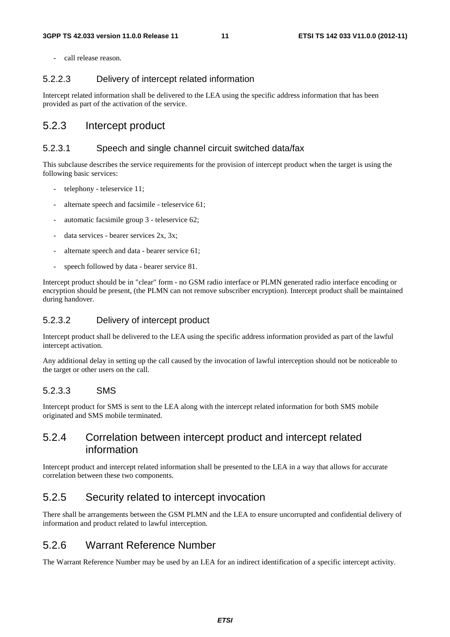- call release reason.

#### 5.2.2.3 Delivery of intercept related information

Intercept related information shall be delivered to the LEA using the specific address information that has been provided as part of the activation of the service.

#### 5.2.3 Intercept product

#### 5.2.3.1 Speech and single channel circuit switched data/fax

This subclause describes the service requirements for the provision of intercept product when the target is using the following basic services:

- telephony teleservice 11;
- alternate speech and facsimile teleservice 61;
- automatic facsimile group 3 teleservice 62;
- data services bearer services 2x, 3x;
- alternate speech and data bearer service 61;
- speech followed by data bearer service 81.

Intercept product should be in "clear" form - no GSM radio interface or PLMN generated radio interface encoding or encryption should be present, (the PLMN can not remove subscriber encryption). Intercept product shall be maintained during handover.

#### 5.2.3.2 Delivery of intercept product

Intercept product shall be delivered to the LEA using the specific address information provided as part of the lawful intercept activation.

Any additional delay in setting up the call caused by the invocation of lawful interception should not be noticeable to the target or other users on the call.

#### 5.2.3.3 SMS

Intercept product for SMS is sent to the LEA along with the intercept related information for both SMS mobile originated and SMS mobile terminated.

#### 5.2.4 Correlation between intercept product and intercept related information

Intercept product and intercept related information shall be presented to the LEA in a way that allows for accurate correlation between these two components.

#### 5.2.5 Security related to intercept invocation

There shall be arrangements between the GSM PLMN and the LEA to ensure uncorrupted and confidential delivery of information and product related to lawful interception.

#### 5.2.6 Warrant Reference Number

The Warrant Reference Number may be used by an LEA for an indirect identification of a specific intercept activity.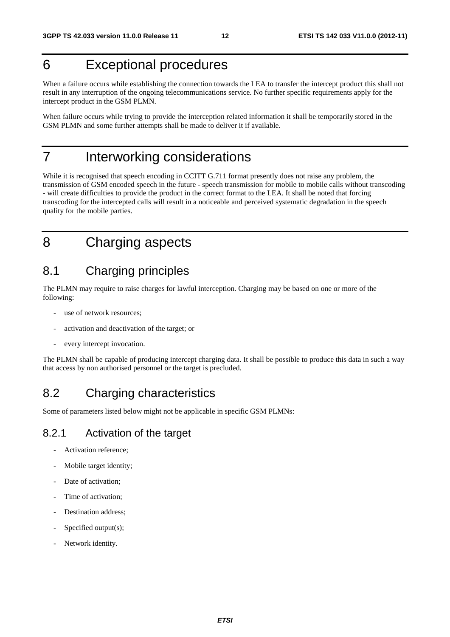# 6 Exceptional procedures

When a failure occurs while establishing the connection towards the LEA to transfer the intercept product this shall not result in any interruption of the ongoing telecommunications service. No further specific requirements apply for the intercept product in the GSM PLMN.

When failure occurs while trying to provide the interception related information it shall be temporarily stored in the GSM PLMN and some further attempts shall be made to deliver it if available.

# 7 Interworking considerations

While it is recognised that speech encoding in CCITT G.711 format presently does not raise any problem, the transmission of GSM encoded speech in the future - speech transmission for mobile to mobile calls without transcoding - will create difficulties to provide the product in the correct format to the LEA. It shall be noted that forcing transcoding for the intercepted calls will result in a noticeable and perceived systematic degradation in the speech quality for the mobile parties.

# 8 Charging aspects

### 8.1 Charging principles

The PLMN may require to raise charges for lawful interception. Charging may be based on one or more of the following:

- use of network resources:
- activation and deactivation of the target; or
- every intercept invocation.

The PLMN shall be capable of producing intercept charging data. It shall be possible to produce this data in such a way that access by non authorised personnel or the target is precluded.

# 8.2 Charging characteristics

Some of parameters listed below might not be applicable in specific GSM PLMNs:

#### 8.2.1 Activation of the target

- Activation reference;
- Mobile target identity;
- Date of activation;
- Time of activation;
- Destination address:
- Specified output(s);
- Network identity.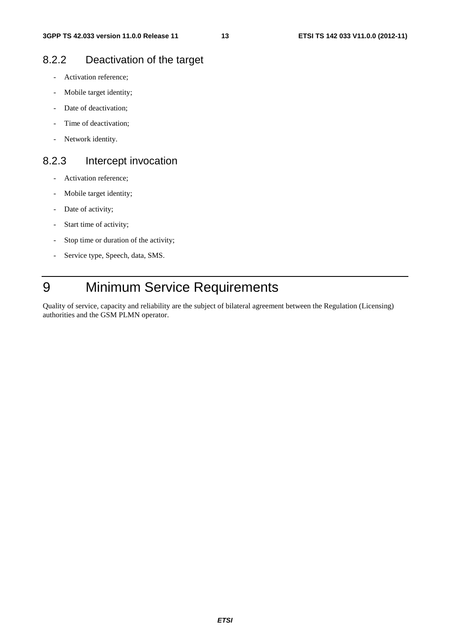#### 8.2.2 Deactivation of the target

- Activation reference;
- Mobile target identity;
- Date of deactivation;
- Time of deactivation:
- Network identity.

#### 8.2.3 Intercept invocation

- Activation reference;
- Mobile target identity;
- Date of activity;
- Start time of activity;
- Stop time or duration of the activity;
- Service type, Speech, data, SMS.

# 9 Minimum Service Requirements

Quality of service, capacity and reliability are the subject of bilateral agreement between the Regulation (Licensing) authorities and the GSM PLMN operator.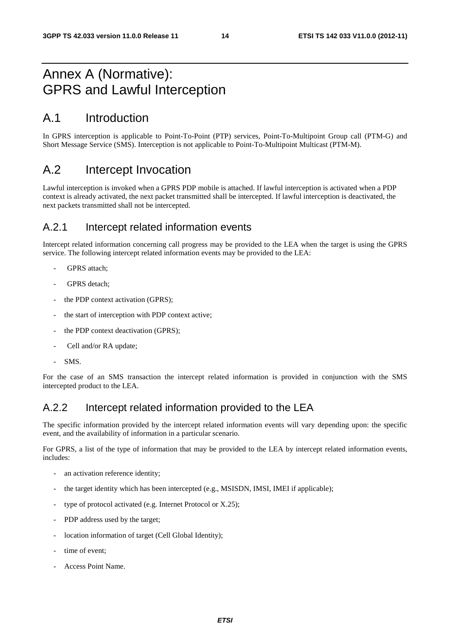# Annex A (Normative): GPRS and Lawful Interception

### A.1 Introduction

In GPRS interception is applicable to Point-To-Point (PTP) services, Point-To-Multipoint Group call (PTM-G) and Short Message Service (SMS). Interception is not applicable to Point-To-Multipoint Multicast (PTM-M).

### A.2 Intercept Invocation

Lawful interception is invoked when a GPRS PDP mobile is attached. If lawful interception is activated when a PDP context is already activated, the next packet transmitted shall be intercepted. If lawful interception is deactivated, the next packets transmitted shall not be intercepted.

#### A.2.1 Intercept related information events

Intercept related information concerning call progress may be provided to the LEA when the target is using the GPRS service. The following intercept related information events may be provided to the LEA:

- GPRS attach;
- GPRS detach;
- the PDP context activation (GPRS);
- the start of interception with PDP context active;
- the PDP context deactivation (GPRS);
- Cell and/or RA update:
- SMS.

For the case of an SMS transaction the intercept related information is provided in conjunction with the SMS intercepted product to the LEA.

### A.2.2 Intercept related information provided to the LEA

The specific information provided by the intercept related information events will vary depending upon: the specific event, and the availability of information in a particular scenario.

For GPRS, a list of the type of information that may be provided to the LEA by intercept related information events, includes:

- an activation reference identity;
- the target identity which has been intercepted (e.g., MSISDN, IMSI, IMEI if applicable);
- type of protocol activated (e.g. Internet Protocol or  $X.25$ );
- PDP address used by the target;
- location information of target (Cell Global Identity);
- time of event:
- Access Point Name.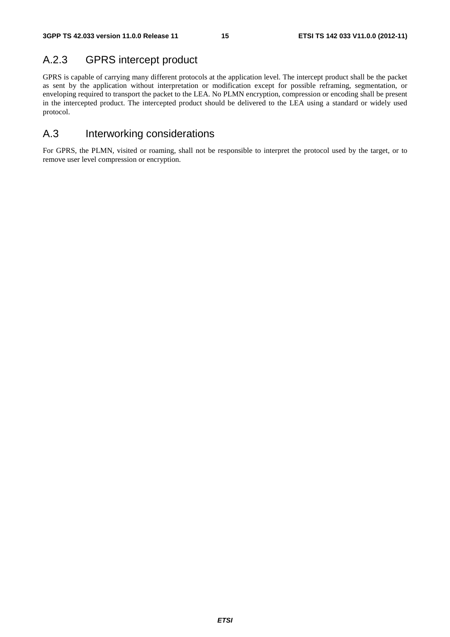### A.2.3 GPRS intercept product

GPRS is capable of carrying many different protocols at the application level. The intercept product shall be the packet as sent by the application without interpretation or modification except for possible reframing, segmentation, or enveloping required to transport the packet to the LEA. No PLMN encryption, compression or encoding shall be present in the intercepted product. The intercepted product should be delivered to the LEA using a standard or widely used protocol.

### A.3 Interworking considerations

For GPRS, the PLMN, visited or roaming, shall not be responsible to interpret the protocol used by the target, or to remove user level compression or encryption.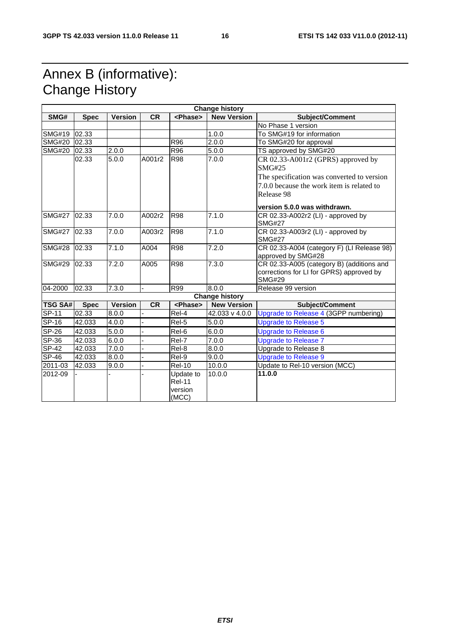# Annex B (informative): Change History

| <b>Change history</b> |             |                |           |                 |                       |                                                           |  |
|-----------------------|-------------|----------------|-----------|-----------------|-----------------------|-----------------------------------------------------------|--|
| SMG#                  | <b>Spec</b> | <b>Version</b> | <b>CR</b> | <phase></phase> | <b>New Version</b>    | Subject/Comment                                           |  |
|                       |             |                |           |                 |                       | No Phase 1 version                                        |  |
| <b>SMG#19</b>         | 02.33       |                |           |                 | 1.0.0                 | To SMG#19 for information                                 |  |
| <b>SMG#20</b>         | 02.33       |                |           | R96             | 2.0.0                 | To SMG#20 for approval                                    |  |
| <b>SMG#20</b>         | 02.33       | 2.0.0          |           | R96             | 5.0.0                 | TS approved by SMG#20                                     |  |
|                       | 02.33       | 5.0.0          | A001r2    | <b>R98</b>      | 7.0.0                 | CR 02.33-A001r2 (GPRS) approved by                        |  |
|                       |             |                |           |                 |                       | <b>SMG#25</b>                                             |  |
|                       |             |                |           |                 |                       | The specification was converted to version                |  |
|                       |             |                |           |                 |                       | 7.0.0 because the work item is related to                 |  |
|                       |             |                |           |                 |                       | Release 98                                                |  |
|                       |             |                |           |                 |                       | version 5.0.0 was withdrawn.                              |  |
| <b>SMG#27</b>         | 02.33       | 7.0.0          | A002r2    | <b>R98</b>      | 7.1.0                 | CR 02.33-A002r2 (LI) - approved by                        |  |
|                       |             |                |           |                 |                       | <b>SMG#27</b>                                             |  |
| <b>SMG#27</b>         | 02.33       | 7.0.0          | A003r2    | <b>R98</b>      | 7.1.0                 | CR 02.33-A003r2 (LI) - approved by                        |  |
|                       |             |                |           |                 |                       | <b>SMG#27</b>                                             |  |
| <b>SMG#28</b>         | 02.33       | 7.1.0          | A004      | <b>R98</b>      | 7.2.0                 | CR 02.33-A004 (category F) (LI Release 98)                |  |
|                       |             |                |           |                 |                       | approved by SMG#28                                        |  |
| <b>SMG#29</b>         | 02.33       | 7.2.0          | A005      | <b>R98</b>      | 7.3.0                 | CR 02.33-A005 (category B) (additions and                 |  |
|                       |             |                |           |                 |                       | corrections for LI for GPRS) approved by<br><b>SMG#29</b> |  |
| 04-2000               | 02.33       | 7.3.0          |           | R99             | 8.0.0                 | Release 99 version                                        |  |
|                       |             |                |           |                 | <b>Change history</b> |                                                           |  |
| <b>TSG SA#</b>        | <b>Spec</b> | <b>Version</b> | <b>CR</b> | <phase></phase> | <b>New Version</b>    | Subject/Comment                                           |  |
| SP-11                 | 02.33       | 8.0.0          |           | Rel-4           | 42.033 v 4.0.0        | Upgrade to Release 4 (3GPP numbering)                     |  |
| $SP-16$               | 42.033      | 4.0.0          |           | Rel-5           | 5.0.0                 | <b>Upgrade to Release 5</b>                               |  |
| <b>SP-26</b>          | 42.033      | 5.0.0          |           | Rel-6           | 6.0.0                 | <b>Upgrade to Release 6</b>                               |  |
| SP-36                 | 42.033      | 6.0.0          |           | Rel-7           | 7.0.0                 | <b>Upgrade to Release 7</b>                               |  |
| <b>SP-42</b>          | 42.033      | 7.0.0          |           | Rel-8           | 8.0.0                 | Upgrade to Release 8                                      |  |
| <b>SP-46</b>          | 42.033      | 8.0.0          |           | Rel-9           | 9.0.0                 | <b>Upgrade to Release 9</b>                               |  |
| 2011-03               | 42.033      | 9.0.0          |           | <b>Rel-10</b>   | 10.0.0                | Update to Rel-10 version (MCC)                            |  |
| 2012-09               |             |                |           | Update to       | 10.0.0                | 11.0.0                                                    |  |
|                       |             |                |           | <b>Rel-11</b>   |                       |                                                           |  |
|                       |             |                |           | version         |                       |                                                           |  |
|                       |             |                |           | (MCC)           |                       |                                                           |  |